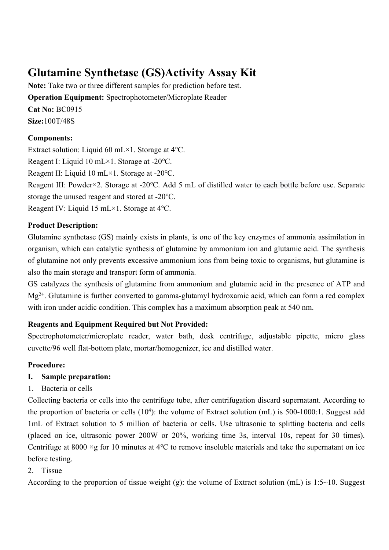# **Glutamine Synthetase (GS)Activity Assay Kit**

**Note:** Take two or three different samples for prediction before test. **Operation Equipment:** Spectrophotometer/Microplate Reader **Cat No:** BC0915 **Size:**100T/48S

## **Components:**

Extract solution: Liquid 60 mL×1. Storage at 4℃.

Reagent I: Liquid 10 mL×1. Storage at -20℃.

Reagent II: Liquid 10 mL×1. Storage at -20℃.

Reagent III: Powder×2. Storage at -20℃. Add 5 mL of distilled water to each bottle before use. Separate storage the unused reagent and stored at -20℃.

Reagent IV: Liquid 15 mL×1. Storage at 4℃.

## **Product Description:**

Glutamine synthetase (GS) mainly exists in plants, is one of the key enzymes of ammonia assimilation in organism, which can catalytic synthesis of glutamine by ammonium ion and glutamic acid. The synthesis of glutamine not only prevents excessive ammonium ions from being toxic to organisms, but glutamine is also the main storage and transport form of ammonia.

GS catalyzes the synthesis of glutamine from ammonium and glutamic acid in the presence of ATP and  $Mg^{2+}$ . Glutamine is further converted to gamma-glutamyl hydroxamic acid, which can form a red complex with iron under acidic condition. This complex has a maximum absorption peak at 540 nm.

## **Reagents and Equipment Required but Not Provided:**

Spectrophotometer/microplate reader, water bath, desk centrifuge, adjustable pipette, micro glass cuvette/96 well flat-bottom plate, mortar/homogenizer, ice and distilled water.

## **Procedure:**

## **I. Sample preparation:**

1. Bacteria or cells

Collecting bacteria or cells into the centrifuge tube, after centrifugation discard supernatant. According to the proportion of bacteria or cells (10<sup>4</sup>): the volume of Extract solution (mL) is 500-1000:1. Suggest add 1mL of Extract solution to 5 million of bacteria or cells. Use ultrasonic to splitting bacteria and cells (placed on ice, ultrasonic power 200W or 20%, working time 3s, interval 10s, repeat for 30 times). Centrifuge at 8000 ×g for 10 minutes at 4℃ to remove insoluble materials and take the supernatant on ice before testing.

## 2. Tissue

According to the proportion of tissue weight (g): the volume of Extract solution (mL) is 1:5~10. Suggest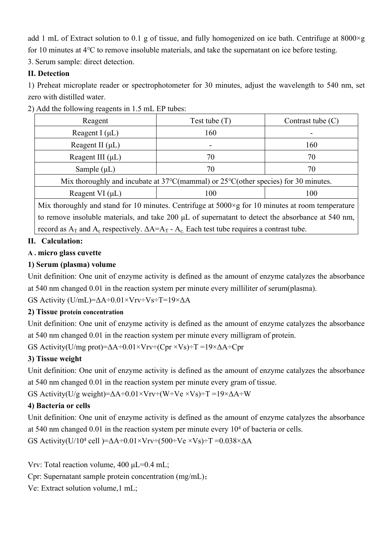add 1 mL of Extract solution to 0.1 g of tissue, and fully homogenized on ice bath. Centrifuge at 8000×g for 10 minutes at 4℃ to remove insoluble materials, and take the supernatant on ice before testing.

3. Serum sample: direct detection.

## **II. Detection**

1) Preheat microplate reader or spectrophotometer for 30 minutes, adjust the wavelength to 540 nm, set zero with distilled water.

| Reagent                                                                                                   | Test tube $(T)$ | Contrast tube $(C)$ |
|-----------------------------------------------------------------------------------------------------------|-----------------|---------------------|
| Reagent I $(\mu L)$                                                                                       | 160             |                     |
| Reagent II $(\mu L)$                                                                                      |                 | 160                 |
| Reagent III $(\mu L)$                                                                                     | 70              | 70                  |
| Sample $(\mu L)$                                                                                          | 70              | 70                  |
| Mix thoroughly and incubate at $37^{\circ}$ C(mammal) or $25^{\circ}$ C(other species) for 30 minutes.    |                 |                     |
| Reagent VI $(\mu L)$                                                                                      | 100             | 100                 |
| Mix thoroughly and stand for 10 minutes. Centrifuge at $5000 \times g$ for 10 minutes at room temperature |                 |                     |

2) Add the following reagents in 1.5 mL EP tubes:

to remove insoluble materials, and take 200 μL of supernatant to detect the absorbance at 540 nm, record as  $A_T$  and  $A_c$  respectively.  $\Delta A = A_T - A_c$ . Each test tube requires a contrast tube.

## **II. Calculation:**

## **A . micro glass cuvette**

## **1) Serum (plasma) volume**

Unit definition: One unit of enzyme activity is defined as the amount of enzyme catalyzes the absorbance at 540 nm changed 0.01 in the reaction system per minute every milliliter of serum(plasma).

GS Activity (U/mL)=ΔA÷0.01×Vrv÷Vs÷T=19×ΔA

## **2) Tissue protein concentration**

Unit definition: One unit of enzyme activity is defined as the amount of enzyme catalyzes the absorbance at 540 nm changed 0.01 in the reaction system per minute every milligram of protein.

GS Activity(U/mg prot)= $\Delta A \div 0.01 \times V$ rv $\div$ (Cpr  $\times V_s$ ) $\div T = 19 \times \Delta A \div C$ pr

# **3) Tissue weight**

Unit definition: One unit of enzyme activity is defined as the amount of enzyme catalyzes the absorbance at 540 nm changed 0.01 in the reaction system per minute every gram of tissue.

GS Activity(U/g weight)= $\Delta A \div 0.01 \times Vr = (W \div Ve \times Vs) \div T = 19 \times \Delta A \div W$ 

# **4) Bacteria or cells**

Unit definition: One unit of enzyme activity is defined as the amount of enzyme catalyzes the absorbance at 540 nm changed  $0.01$  in the reaction system per minute every  $10<sup>4</sup>$  of bacteria or cells.

GS Activity(U/10<sup>4</sup> cell )= $\Delta A \div 0.01 \times V$ rv $\div (500 \div Ve \times Vs) \div T = 0.038 \times \Delta A$ 

Vrv: Total reaction volume, 400 μL=0.4 mL;

Cpr: Supernatant sample protein concentration (mg/mL);

Ve: Extract solution volume,1 mL;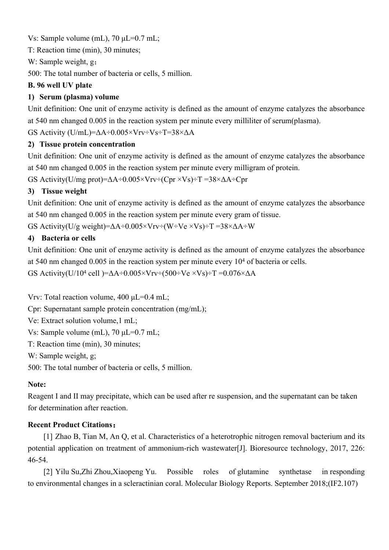Vs: Sample volume (mL), 70 μL=0.7 mL;

T: Reaction time (min), 30 minutes;

W: Sample weight, g;

500: The total number of bacteria or cells, 5 million.

## **B. 96 well UV plate**

## **1) Serum (plasma) volume**

Unit definition: One unit of enzyme activity is defined as the amount of enzyme catalyzes the absorbance at 540 nm changed 0.005 in the reaction system per minute every milliliter of serum(plasma).

GS Activity (U/mL)=ΔA÷0.005×Vrv÷Vs÷T=38×ΔA

## **2) Tissue protein concentration**

Unit definition: One unit of enzyme activity is defined as the amount of enzyme catalyzes the absorbance at 540 nm changed 0.005 in the reaction system per minute every milligram of protein.

GS Activity(U/mg prot)= $\Delta A \div 0.005 \times V$ rv $\div$ (Cpr  $\times V$ s) $\div T = 38 \times \Delta A \div C$ pr

## **3) Tissue weight**

Unit definition: One unit of enzyme activity is defined as the amount of enzyme catalyzes the absorbance at 540 nm changed 0.005 in the reaction system per minute every gram of tissue.

GS Activity(U/g weight)= $\Delta A \div 0.005 \times V$ rv $\div (W \div Ve \times Vs) \div T = 38 \times \Delta A \div W$ 

## **4) Bacteria or cells**

Unit definition: One unit of enzyme activity is defined as the amount of enzyme catalyzes the absorbance at 540 nm changed 0.005 in the reaction system per minute every 10<sup>4</sup> of bacteria or cells.

GS Activity(U/10<sup>4</sup> cell )= $\Delta A \div 0.005 \times Vr$ v $\div (500 \div Ve \times Vs) \div T = 0.076 \times \Delta A$ 

Vrv: Total reaction volume, 400 μL=0.4 mL;

Cpr: Supernatant sample protein concentration (mg/mL);

Ve: Extract solution volume,1 mL;

Vs: Sample volume (mL), 70 μL=0.7 mL;

T: Reaction time (min), 30 minutes;

W: Sample weight, g;

500: The total number of bacteria or cells, 5 million.

#### **Note:**

Reagent I and II may precipitate, which can be used after re suspension, and the supernatant can be taken for determination after reaction.

#### **Recent Product Citations:**

[1] Zhao B, Tian M, An Q, et al. Characteristics of a heterotrophic nitrogen removal bacterium and its potential application on treatment of ammonium-rich wastewater[J]. Bioresource technology, 2017, 226: 46-54.

[2] Yilu Su,Zhi Zhou,Xiaopeng Yu. Possible roles of glutamine synthetase in responding to environmental changes in a scleractinian coral. Molecular Biology Reports. September 2018;(IF2.107)